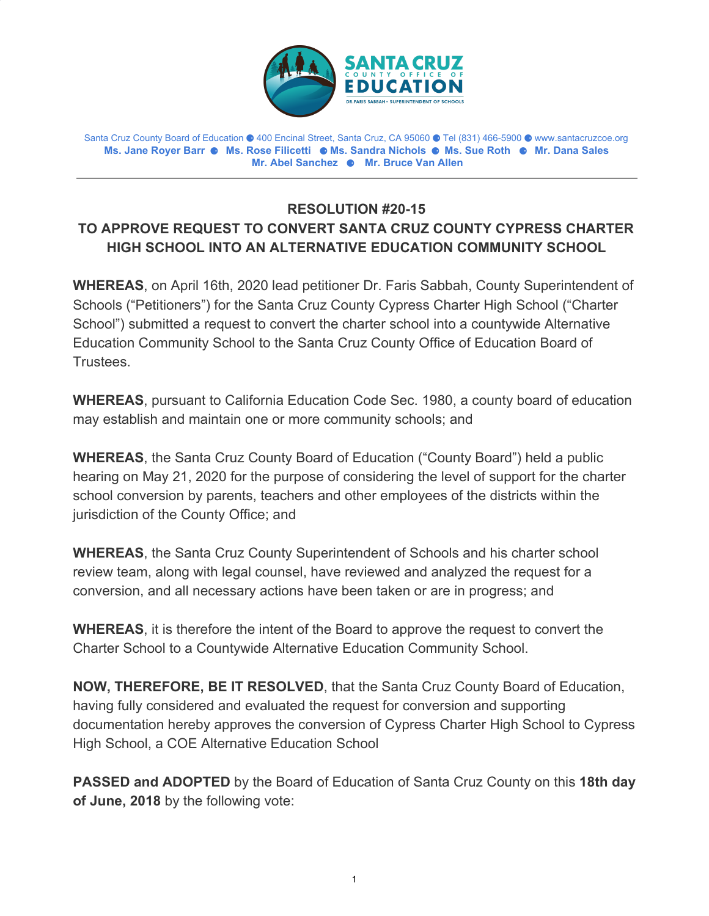

Santa Cruz County Board of Education ⚈ 400 Encinal Street, Santa Cruz, CA 95060 ⚈ Tel (831) 466-5900 ⚈ www.santacruzcoe.org **Ms. Jane Royer Barr** ⚈ **Ms. Rose Filicetti** ⚈ **Ms. Sandra Nichols** ⚈ **Ms. Sue Roth** ⚈ **Mr. Dana Sales Mr. Abel Sanchez** ⚈ **Mr. Bruce Van Allen**

## **RESOLUTION #20-15 TO APPROVE REQUEST TO CONVERT SANTA CRUZ COUNTY CYPRESS CHARTER HIGH SCHOOL INTO AN ALTERNATIVE EDUCATION COMMUNITY SCHOOL**

**WHEREAS**, on April 16th, 2020 lead petitioner Dr. Faris Sabbah, County Superintendent of Schools ("Petitioners") for the Santa Cruz County Cypress Charter High School ("Charter School") submitted a request to convert the charter school into a countywide Alternative Education Community School to the Santa Cruz County Office of Education Board of Trustees.

**WHEREAS**, pursuant to California Education Code Sec. 1980, a county board of education may establish and maintain one or more community schools; and

**WHEREAS**, the Santa Cruz County Board of Education ("County Board") held a public hearing on May 21, 2020 for the purpose of considering the level of support for the charter school conversion by parents, teachers and other employees of the districts within the jurisdiction of the County Office; and

**WHEREAS**, the Santa Cruz County Superintendent of Schools and his charter school review team, along with legal counsel, have reviewed and analyzed the request for a conversion, and all necessary actions have been taken or are in progress; and

**WHEREAS**, it is therefore the intent of the Board to approve the request to convert the Charter School to a Countywide Alternative Education Community School.

**NOW, THEREFORE, BE IT RESOLVED**, that the Santa Cruz County Board of Education, having fully considered and evaluated the request for conversion and supporting documentation hereby approves the conversion of Cypress Charter High School to Cypress High School, a COE Alternative Education School

**PASSED and ADOPTED** by the Board of Education of Santa Cruz County on this **18th day of June, 2018** by the following vote: